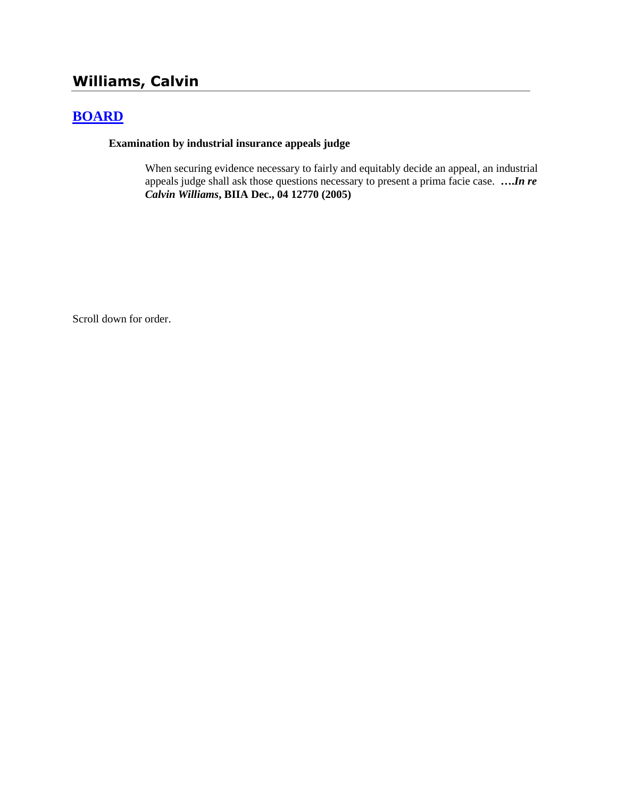# **Williams, Calvin**

# **[BOARD](http://www.biia.wa.gov/SDSubjectIndex.html#BOARD)**

#### **Examination by industrial insurance appeals judge**

When securing evidence necessary to fairly and equitably decide an appeal, an industrial appeals judge shall ask those questions necessary to present a prima facie case. **….***In re Calvin Williams***, BIIA Dec., 04 12770 (2005)**

Scroll down for order.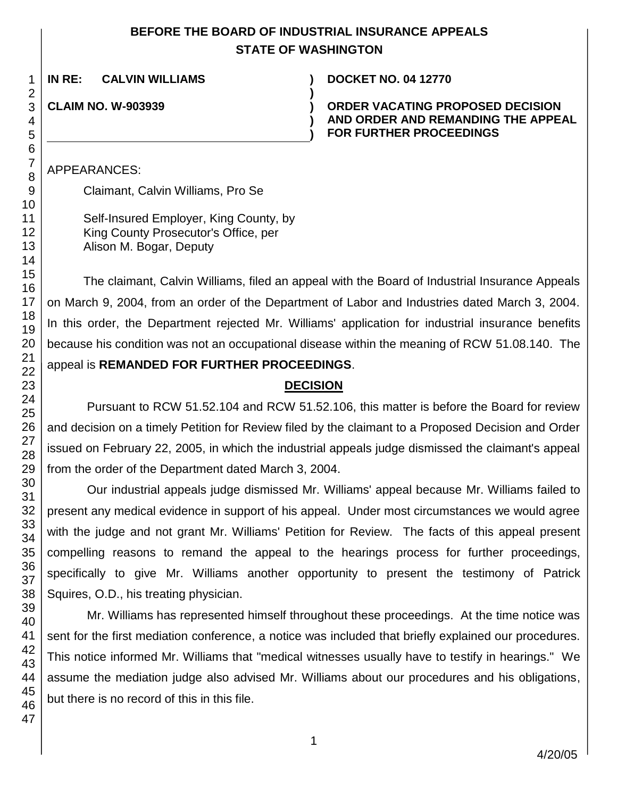### **BEFORE THE BOARD OF INDUSTRIAL INSURANCE APPEALS STATE OF WASHINGTON**

**)**

**) )**

**IN RE: CALVIN WILLIAMS ) DOCKET NO. 04 12770**

**CLAIM NO. W-903939 )**

**ORDER VACATING PROPOSED DECISION AND ORDER AND REMANDING THE APPEAL FOR FURTHER PROCEEDINGS**

APPEARANCES:

Claimant, Calvin Williams, Pro Se

Self-Insured Employer, King County, by King County Prosecutor's Office, per Alison M. Bogar, Deputy

The claimant, Calvin Williams, filed an appeal with the Board of Industrial Insurance Appeals on March 9, 2004, from an order of the Department of Labor and Industries dated March 3, 2004. In this order, the Department rejected Mr. Williams' application for industrial insurance benefits because his condition was not an occupational disease within the meaning of RCW 51.08.140. The appeal is **REMANDED FOR FURTHER PROCEEDINGS**.

#### **DECISION**

Pursuant to RCW 51.52.104 and RCW 51.52.106, this matter is before the Board for review and decision on a timely Petition for Review filed by the claimant to a Proposed Decision and Order issued on February 22, 2005, in which the industrial appeals judge dismissed the claimant's appeal from the order of the Department dated March 3, 2004.

Our industrial appeals judge dismissed Mr. Williams' appeal because Mr. Williams failed to present any medical evidence in support of his appeal. Under most circumstances we would agree with the judge and not grant Mr. Williams' Petition for Review. The facts of this appeal present compelling reasons to remand the appeal to the hearings process for further proceedings, specifically to give Mr. Williams another opportunity to present the testimony of Patrick Squires, O.D., his treating physician.

Mr. Williams has represented himself throughout these proceedings. At the time notice was sent for the first mediation conference, a notice was included that briefly explained our procedures. This notice informed Mr. Williams that "medical witnesses usually have to testify in hearings." We assume the mediation judge also advised Mr. Williams about our procedures and his obligations, but there is no record of this in this file.

1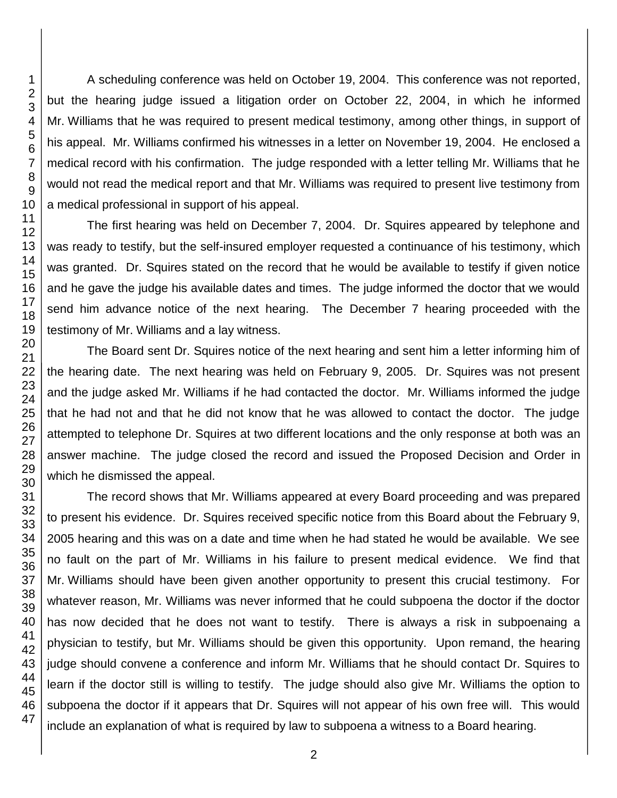A scheduling conference was held on October 19, 2004. This conference was not reported, but the hearing judge issued a litigation order on October 22, 2004, in which he informed Mr. Williams that he was required to present medical testimony, among other things, in support of his appeal. Mr. Williams confirmed his witnesses in a letter on November 19, 2004. He enclosed a medical record with his confirmation. The judge responded with a letter telling Mr. Williams that he would not read the medical report and that Mr. Williams was required to present live testimony from a medical professional in support of his appeal.

The first hearing was held on December 7, 2004. Dr. Squires appeared by telephone and was ready to testify, but the self-insured employer requested a continuance of his testimony, which was granted. Dr. Squires stated on the record that he would be available to testify if given notice and he gave the judge his available dates and times. The judge informed the doctor that we would send him advance notice of the next hearing. The December 7 hearing proceeded with the testimony of Mr. Williams and a lay witness.

The Board sent Dr. Squires notice of the next hearing and sent him a letter informing him of the hearing date. The next hearing was held on February 9, 2005. Dr. Squires was not present and the judge asked Mr. Williams if he had contacted the doctor. Mr. Williams informed the judge that he had not and that he did not know that he was allowed to contact the doctor. The judge attempted to telephone Dr. Squires at two different locations and the only response at both was an answer machine. The judge closed the record and issued the Proposed Decision and Order in which he dismissed the appeal.

The record shows that Mr. Williams appeared at every Board proceeding and was prepared to present his evidence. Dr. Squires received specific notice from this Board about the February 9, 2005 hearing and this was on a date and time when he had stated he would be available. We see no fault on the part of Mr. Williams in his failure to present medical evidence. We find that Mr. Williams should have been given another opportunity to present this crucial testimony. For whatever reason, Mr. Williams was never informed that he could subpoena the doctor if the doctor has now decided that he does not want to testify. There is always a risk in subpoenaing a physician to testify, but Mr. Williams should be given this opportunity. Upon remand, the hearing judge should convene a conference and inform Mr. Williams that he should contact Dr. Squires to learn if the doctor still is willing to testify. The judge should also give Mr. Williams the option to subpoena the doctor if it appears that Dr. Squires will not appear of his own free will. This would include an explanation of what is required by law to subpoena a witness to a Board hearing.